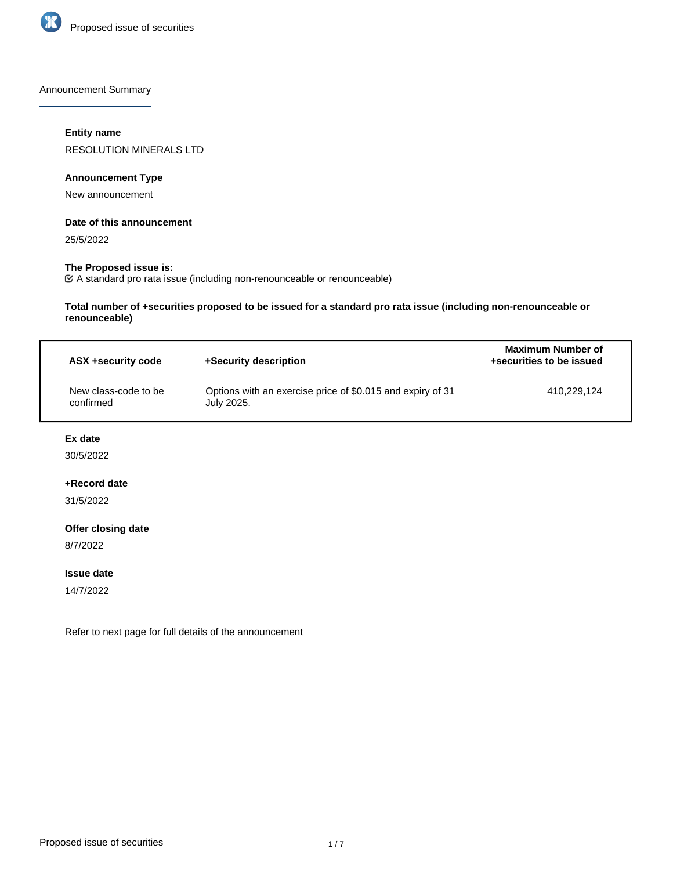

Announcement Summary

# **Entity name**

RESOLUTION MINERALS LTD

## **Announcement Type**

New announcement

#### **Date of this announcement**

25/5/2022

# **The Proposed issue is:**

A standard pro rata issue (including non-renounceable or renounceable)

**Total number of +securities proposed to be issued for a standard pro rata issue (including non-renounceable or renounceable)**

| ASX +security code                | +Security description                                                    | <b>Maximum Number of</b><br>+securities to be issued |  |
|-----------------------------------|--------------------------------------------------------------------------|------------------------------------------------------|--|
| New class-code to be<br>confirmed | Options with an exercise price of \$0.015 and expiry of 31<br>July 2025. | 410.229.124                                          |  |

## **Ex date**

30/5/2022

# **+Record date**

31/5/2022

#### **Offer closing date**

8/7/2022

#### **Issue date**

14/7/2022

Refer to next page for full details of the announcement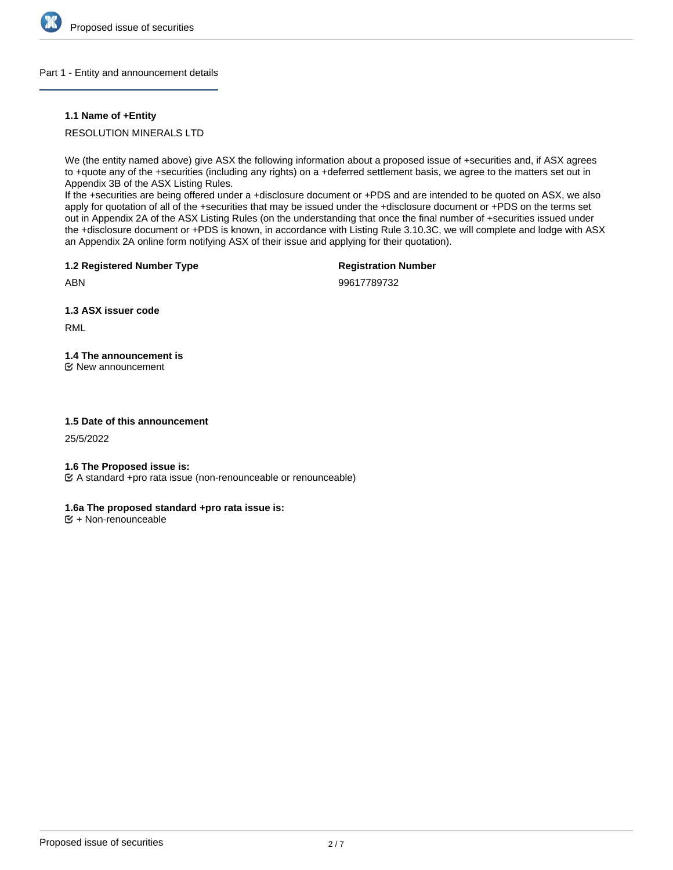

#### Part 1 - Entity and announcement details

#### **1.1 Name of +Entity**

RESOLUTION MINERALS LTD

We (the entity named above) give ASX the following information about a proposed issue of +securities and, if ASX agrees to +quote any of the +securities (including any rights) on a +deferred settlement basis, we agree to the matters set out in Appendix 3B of the ASX Listing Rules.

If the +securities are being offered under a +disclosure document or +PDS and are intended to be quoted on ASX, we also apply for quotation of all of the +securities that may be issued under the +disclosure document or +PDS on the terms set out in Appendix 2A of the ASX Listing Rules (on the understanding that once the final number of +securities issued under the +disclosure document or +PDS is known, in accordance with Listing Rule 3.10.3C, we will complete and lodge with ASX an Appendix 2A online form notifying ASX of their issue and applying for their quotation).

**1.2 Registered Number Type**

**Registration Number**

ABN

99617789732

**1.3 ASX issuer code**

RML

**1.4 The announcement is** New announcement

### **1.5 Date of this announcement**

25/5/2022

#### **1.6 The Proposed issue is:**

A standard +pro rata issue (non-renounceable or renounceable)

# **1.6a The proposed standard +pro rata issue is:**

 $E + \text{Non-renounceable}$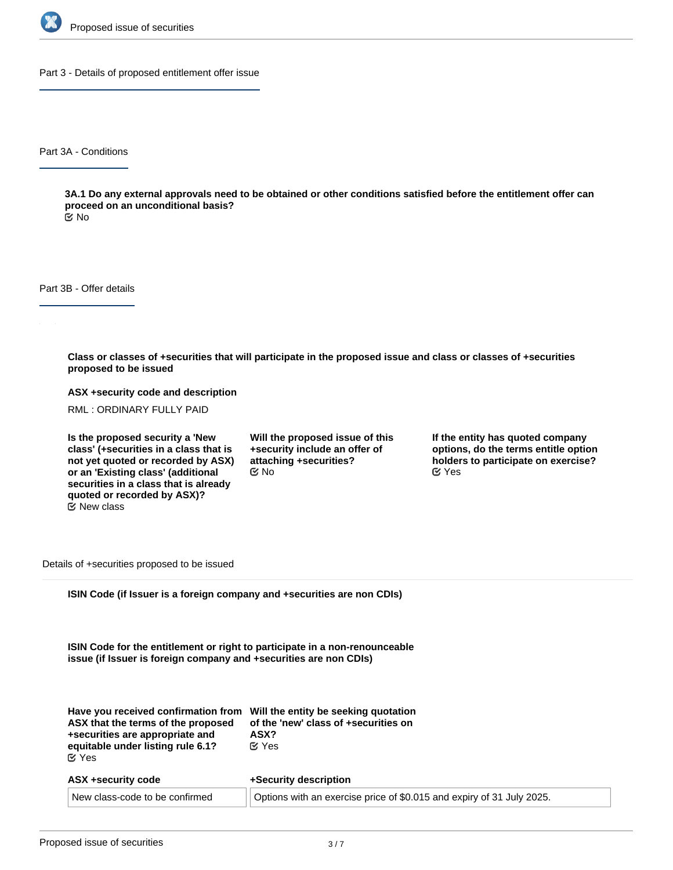

Part 3 - Details of proposed entitlement offer issue

Part 3A - Conditions

**3A.1 Do any external approvals need to be obtained or other conditions satisfied before the entitlement offer can proceed on an unconditional basis?**

No

Part 3B - Offer details

**Class or classes of +securities that will participate in the proposed issue and class or classes of +securities proposed to be issued**

**ASX +security code and description**

RML : ORDINARY FULLY PAID

**Is the proposed security a 'New class' (+securities in a class that is not yet quoted or recorded by ASX) or an 'Existing class' (additional securities in a class that is already quoted or recorded by ASX)?**  $E$  New class

**Will the proposed issue of this +security include an offer of attaching +securities?**  $C$  No  $C$  Yes

**If the entity has quoted company options, do the terms entitle option holders to participate on exercise?**

Details of +securities proposed to be issued

**ISIN Code (if Issuer is a foreign company and +securities are non CDIs)**

**ISIN Code for the entitlement or right to participate in a non-renounceable issue (if Issuer is foreign company and +securities are non CDIs)**

| Have you received confirmation from Will the entity be seeking quotation<br>ASX that the terms of the proposed<br>+securities are appropriate and<br>equitable under listing rule 6.1?<br>$\mathfrak{C}$ Yes | of the 'new' class of +securities on<br>ASX?<br>$\alpha$ Yes          |
|--------------------------------------------------------------------------------------------------------------------------------------------------------------------------------------------------------------|-----------------------------------------------------------------------|
| ASX +security code                                                                                                                                                                                           | +Security description                                                 |
| New class-code to be confirmed                                                                                                                                                                               | Options with an exercise price of \$0.015 and expiry of 31 July 2025. |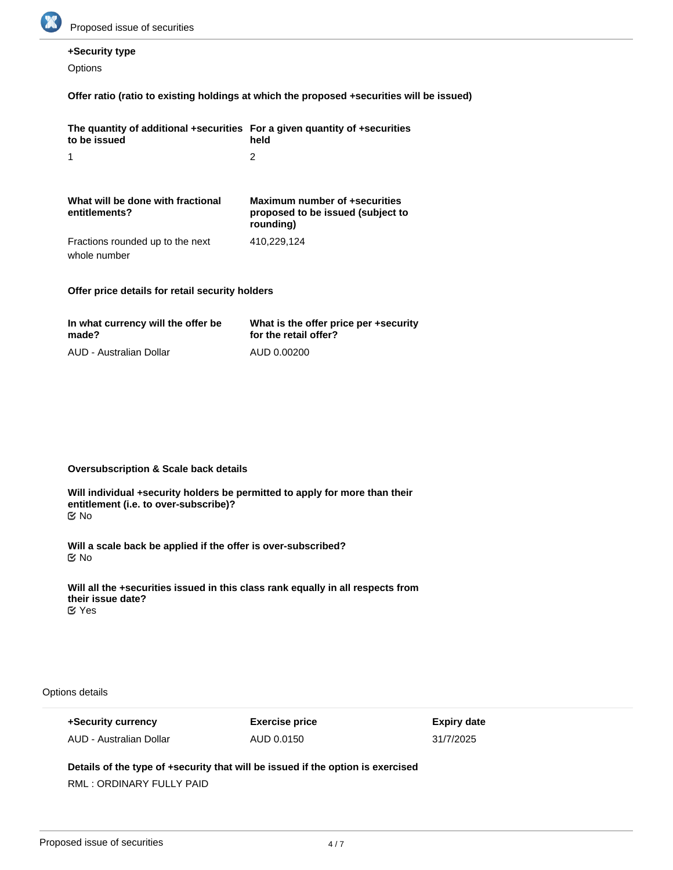

# **+Security type**

**Options** 

# **Offer ratio (ratio to existing holdings at which the proposed +securities will be issued)**

| The quantity of additional +securities For a given quantity of +securities<br>to be issued | held                                                                            |
|--------------------------------------------------------------------------------------------|---------------------------------------------------------------------------------|
| 1                                                                                          | 2                                                                               |
| What will be done with fractional<br>entitlements?                                         | Maximum number of +securities<br>proposed to be issued (subject to<br>rounding) |
| Fractions rounded up to the next                                                           | 410.229.124                                                                     |

whole number

# **Offer price details for retail security holders**

| In what currency will the offer be | What is the offer price per +security |
|------------------------------------|---------------------------------------|
| made?                              | for the retail offer?                 |
| AUD - Australian Dollar            | AUD 0.00200                           |

## **Oversubscription & Scale back details**

**Will individual +security holders be permitted to apply for more than their entitlement (i.e. to over-subscribe)?** No

**Will a scale back be applied if the offer is over-subscribed?** No

**Will all the +securities issued in this class rank equally in all respects from their issue date? ⊘**Yes

Options details

**+Security currency** AUD - Australian Dollar **Exercise price** AUD 0.0150

**Expiry date** 31/7/2025

# **Details of the type of +security that will be issued if the option is exercised**

RML : ORDINARY FULLY PAID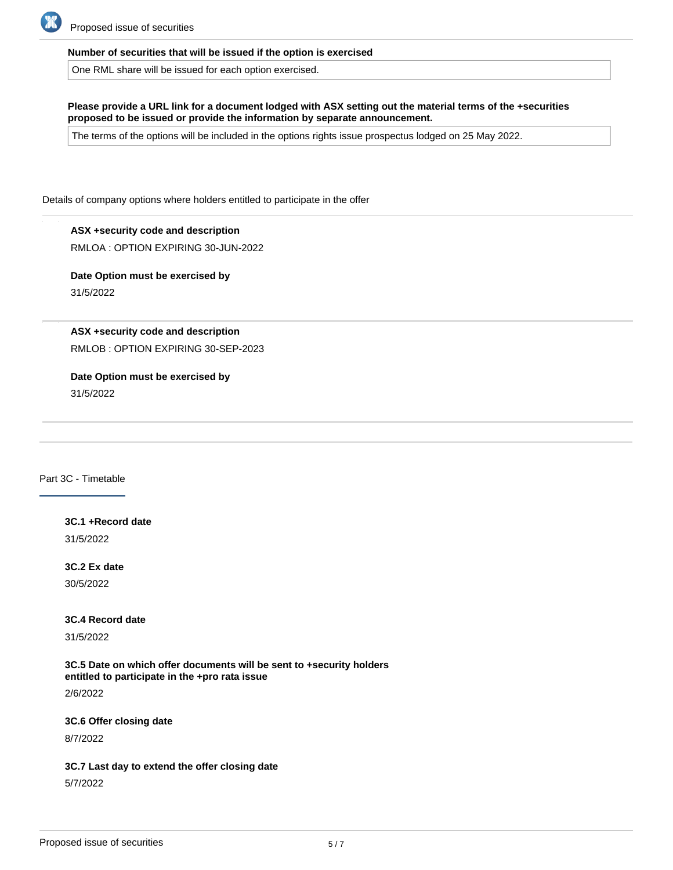

#### **Number of securities that will be issued if the option is exercised**

One RML share will be issued for each option exercised.

**Please provide a URL link for a document lodged with ASX setting out the material terms of the +securities proposed to be issued or provide the information by separate announcement.**

The terms of the options will be included in the options rights issue prospectus lodged on 25 May 2022.

Details of company options where holders entitled to participate in the offer

**ASX +security code and description** RMLOA : OPTION EXPIRING 30-JUN-2022

**Date Option must be exercised by** 31/5/2022

**ASX +security code and description**

RMLOB : OPTION EXPIRING 30-SEP-2023

**Date Option must be exercised by**

31/5/2022

Part 3C - Timetable

**3C.1 +Record date** 31/5/2022

**3C.2 Ex date**

30/5/2022

**3C.4 Record date**

31/5/2022

**3C.5 Date on which offer documents will be sent to +security holders entitled to participate in the +pro rata issue**

**3C.9 Trading in new +securities commences on a deferred settlement basis**

2/6/2022

**3C.6 Offer closing date**

8/7/2022

#### **3C.7 Last day to extend the offer closing date**

5/7/2022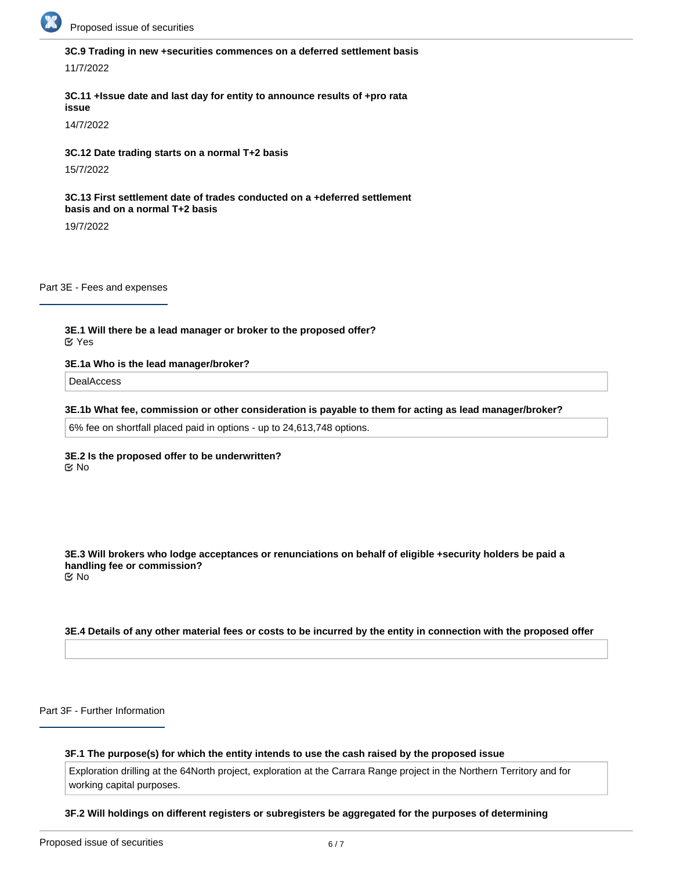

# **3C.9 Trading in new +securities commences on a deferred settlement basis**

11/7/2022

#### **3C.11 +Issue date and last day for entity to announce results of +pro rata issue**

14/7/2022

#### **3C.12 Date trading starts on a normal T+2 basis**

15/7/2022

#### **3C.13 First settlement date of trades conducted on a +deferred settlement basis and on a normal T+2 basis**

19/7/2022

Part 3E - Fees and expenses

**3E.1 Will there be a lead manager or broker to the proposed offer?** Yes

#### **3E.1a Who is the lead manager/broker?**

DealAccess

#### **3E.1b What fee, commission or other consideration is payable to them for acting as lead manager/broker?**

6% fee on shortfall placed paid in options - up to 24,613,748 options.

#### **3E.2 Is the proposed offer to be underwritten?** No

**3E.3 Will brokers who lodge acceptances or renunciations on behalf of eligible +security holders be paid a handling fee or commission?** No

#### **3E.4 Details of any other material fees or costs to be incurred by the entity in connection with the proposed offer**

Part 3F - Further Information

#### **3F.1 The purpose(s) for which the entity intends to use the cash raised by the proposed issue**

Exploration drilling at the 64North project, exploration at the Carrara Range project in the Northern Territory and for working capital purposes.

#### **3F.2 Will holdings on different registers or subregisters be aggregated for the purposes of determining**

**entitlements to the issue?**